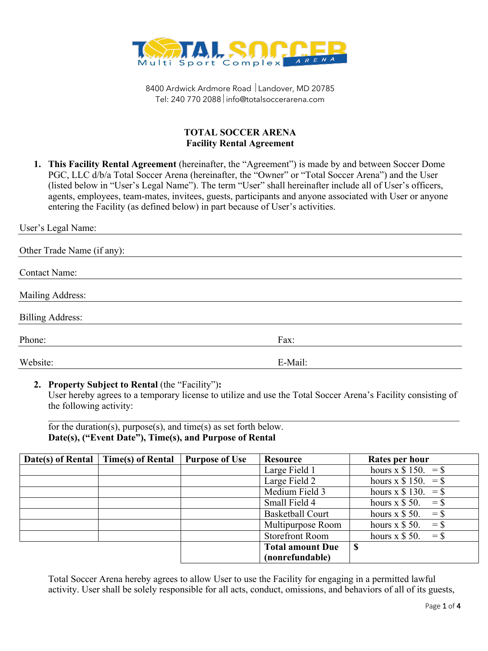

## **TOTAL SOCCER ARENA Facility Rental Agreement**

**1. This Facility Rental Agreement** (hereinafter, the "Agreement") is made by and between Soccer Dome PGC, LLC d/b/a Total Soccer Arena (hereinafter, the "Owner" or "Total Soccer Arena") and the User (listed below in "User's Legal Name"). The term "User" shall hereinafter include all of User's officers, agents, employees, team-mates, invitees, guests, participants and anyone associated with User or anyone entering the Facility (as defined below) in part because of User's activities.

| User's Legal Name:         |         |  |  |
|----------------------------|---------|--|--|
| Other Trade Name (if any): |         |  |  |
| <b>Contact Name:</b>       |         |  |  |
| Mailing Address:           |         |  |  |
| <b>Billing Address:</b>    |         |  |  |
| Phone:                     | Fax:    |  |  |
| Website:                   | E-Mail: |  |  |

## **2. Property Subject to Rental** (the "Facility")**:**

User hereby agrees to a temporary license to utilize and use the Total Soccer Arena's Facility consisting of the following activity:

for the duration(s), purpose(s), and time(s) as set forth below. **Date(s), ("Event Date"), Time(s), and Purpose of Rental** 

| Date(s) of Rental | <b>Time(s)</b> of Rental | <b>Purpose of Use</b> | Resource                | Rates per hour            |
|-------------------|--------------------------|-----------------------|-------------------------|---------------------------|
|                   |                          |                       | Large Field 1           | hours x $$ 150. = $$      |
|                   |                          |                       | Large Field 2           | hours x $$ 150. = $$      |
|                   |                          |                       | Medium Field 3          | hours x $$ 130. = $$      |
|                   |                          |                       | Small Field 4           | hours $x \$ 50.<br>$=$ S  |
|                   |                          |                       | <b>Basketball Court</b> | hours $x \$ 50.<br>$=$ \$ |
|                   |                          |                       | Multipurpose Room       | hours $x \$ 50.<br>$=$ \$ |
|                   |                          |                       | <b>Storefront Room</b>  | hours $x \$ 50.<br>$=$ \$ |
|                   |                          |                       | <b>Total amount Due</b> | S                         |
|                   |                          |                       | (nonrefundable)         |                           |

Total Soccer Arena hereby agrees to allow User to use the Facility for engaging in a permitted lawful activity. User shall be solely responsible for all acts, conduct, omissions, and behaviors of all of its guests,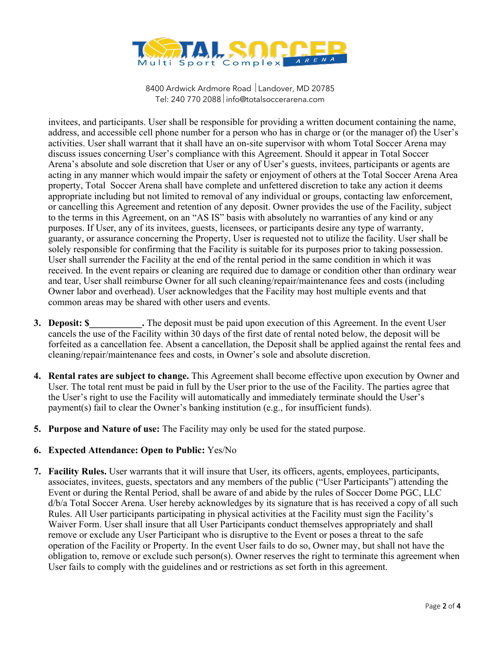

invitees, and participants. User shall be responsible for providing a written document containing the name, address, and accessible cell phone number for a person who has in charge or (or the manager of) the User's activities. User shall warrant that it shall have an on-site supervisor with whom Total Soccer Arena may discuss issues concerning User's compliance with this Agreement. Should it appear in Total Soccer Arena's absolute and sole discretion that User or any of User's guests, invitees, participants or agents are acting in any manner which would impair the safety or enjoyment of others at the Total Soccer Arena Area property, Total Soccer Arena shall have complete and unfettered discretion to take any action it deems appropriate including but not limited to removal of any individual or groups, contacting law enforcement, or cancelling this Agreement and retention of any deposit. Owner provides the use of the Facility, subject to the terms in this Agreement, on an "AS IS" basis with absolutely no warranties of any kind or any purposes. If User, any of its invitees, guests, licensees, or participants desire any type of warranty, guaranty, or assurance concerning the Property, User is requested not to utilize the facility. User shall be solely responsible for confirming that the Facility is suitable for its purposes prior to taking possession. User shall surrender the Facility at the end of the rental period in the same condition in which it was received. In the event repairs or cleaning are required due to damage or condition other than ordinary wear and tear, User shall reimburse Owner for all such cleaning/repair/maintenance fees and costs (including Owner labor and overhead). User acknowledges that the Facility may host multiple events and that common areas may be shared with other users and events.

- **3. Deposit: \$** The deposit must be paid upon execution of this Agreement. In the event User cancels the use of the Facility within 30 days of the first date of rental noted below, the deposit will be forfeited as a cancellation fee. Absent a cancellation, the Deposit shall be applied against the rental fees and cleaning/repair/maintenance fees and costs, in Owner's sole and absolute discretion.
- **4. Rental rates are subject to change.** This Agreement shall become effective upon execution by Owner and User. The total rent must be paid in full by the User prior to the use of the Facility. The parties agree that the User's right to use the Facility will automatically and immediately terminate should the User's payment(s) fail to clear the Owner's banking institution (e.g., for insufficient funds).
- **5. Purpose and Nature of use:** The Facility may only be used for the stated purpose.

## **6. Expected Attendance: Open to Public:** Yes/No

**7. Facility Rules.** User warrants that it will insure that User, its officers, agents, employees, participants, associates, invitees, guests, spectators and any members of the public ("User Participants") attending the Event or during the Rental Period, shall be aware of and abide by the rules of Soccer Dome PGC, LLC d/b/a Total Soccer Arena. User hereby acknowledges by its signature that is has received a copy of all such Rules. All User participants participating in physical activities at the Facility must sign the Facility's Waiver Form. User shall insure that all User Participants conduct themselves appropriately and shall remove or exclude any User Participant who is disruptive to the Event or poses a threat to the safe operation of the Facility or Property. In the event User fails to do so, Owner may, but shall not have the obligation to, remove or exclude such person(s). Owner reserves the right to terminate this agreement when User fails to comply with the guidelines and or restrictions as set forth in this agreement.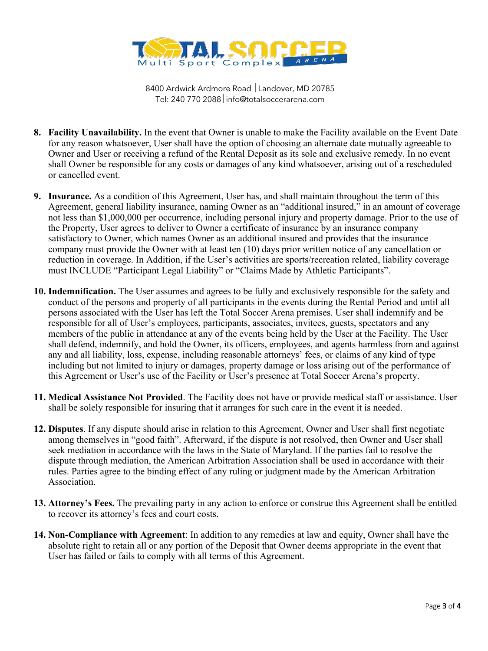

- **8. Facility Unavailability.** In the event that Owner is unable to make the Facility available on the Event Date for any reason whatsoever, User shall have the option of choosing an alternate date mutually agreeable to Owner and User or receiving a refund of the Rental Deposit as its sole and exclusive remedy. In no event shall Owner be responsible for any costs or damages of any kind whatsoever, arising out of a rescheduled or cancelled event.
- **9. Insurance.** As a condition of this Agreement, User has, and shall maintain throughout the term of this Agreement, general liability insurance, naming Owner as an "additional insured," in an amount of coverage not less than \$1,000,000 per occurrence, including personal injury and property damage. Prior to the use of the Property, User agrees to deliver to Owner a certificate of insurance by an insurance company satisfactory to Owner, which names Owner as an additional insured and provides that the insurance company must provide the Owner with at least ten (10) days prior written notice of any cancellation or reduction in coverage. In Addition, if the User's activities are sports/recreation related, liability coverage must INCLUDE "Participant Legal Liability" or "Claims Made by Athletic Participants".
- **10. Indemnification.** The User assumes and agrees to be fully and exclusively responsible for the safety and conduct of the persons and property of all participants in the events during the Rental Period and until all persons associated with the User has left the Total Soccer Arena premises. User shall indemnify and be responsible for all of User's employees, participants, associates, invitees, guests, spectators and any members of the public in attendance at any of the events being held by the User at the Facility. The User shall defend, indemnify, and hold the Owner, its officers, employees, and agents harmless from and against any and all liability, loss, expense, including reasonable attorneys' fees, or claims of any kind of type including but not limited to injury or damages, property damage or loss arising out of the performance of this Agreement or User's use of the Facility or User's presence at Total Soccer Arena's property.
- **11. Medical Assistance Not Provided**. The Facility does not have or provide medical staff or assistance. User shall be solely responsible for insuring that it arranges for such care in the event it is needed.
- **12. Disputes**. If any dispute should arise in relation to this Agreement, Owner and User shall first negotiate among themselves in "good faith". Afterward, if the dispute is not resolved, then Owner and User shall seek mediation in accordance with the laws in the State of Maryland. If the parties fail to resolve the dispute through mediation, the American Arbitration Association shall be used in accordance with their rules. Parties agree to the binding effect of any ruling or judgment made by the American Arbitration Association.
- **13. Attorney's Fees.** The prevailing party in any action to enforce or construe this Agreement shall be entitled to recover its attorney's fees and court costs.
- **14. Non-Compliance with Agreement**: In addition to any remedies at law and equity, Owner shall have the absolute right to retain all or any portion of the Deposit that Owner deems appropriate in the event that User has failed or fails to comply with all terms of this Agreement.